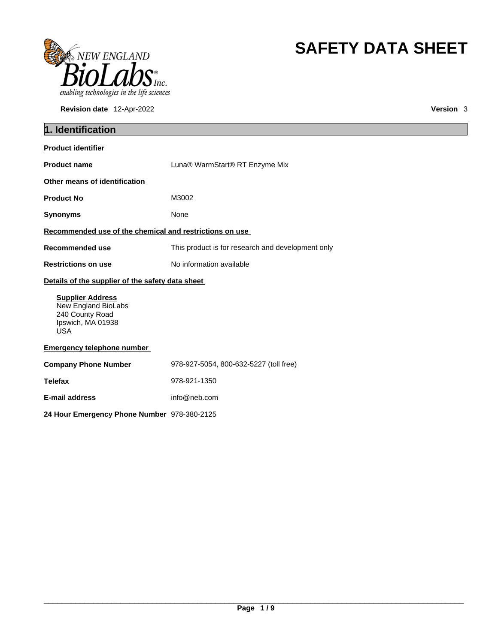

**Revision date** 12-Apr-2022 **Version** 3

# **SAFETY DATA SHEET**

| 1. Identification                                                                                    |                                                   |  |  |
|------------------------------------------------------------------------------------------------------|---------------------------------------------------|--|--|
| <b>Product identifier</b>                                                                            |                                                   |  |  |
| <b>Product name</b>                                                                                  | Luna® WarmStart® RT Enzyme Mix                    |  |  |
| Other means of identification                                                                        |                                                   |  |  |
| <b>Product No</b>                                                                                    | M3002                                             |  |  |
| <b>Synonyms</b>                                                                                      | None                                              |  |  |
| Recommended use of the chemical and restrictions on use                                              |                                                   |  |  |
| Recommended use                                                                                      | This product is for research and development only |  |  |
| <b>Restrictions on use</b>                                                                           | No information available                          |  |  |
| Details of the supplier of the safety data sheet                                                     |                                                   |  |  |
| <b>Supplier Address</b><br>New England BioLabs<br>240 County Road<br>Ipswich, MA 01938<br><b>USA</b> |                                                   |  |  |
| <b>Emergency telephone number</b>                                                                    |                                                   |  |  |
| <b>Company Phone Number</b>                                                                          | 978-927-5054, 800-632-5227 (toll free)            |  |  |
| <b>Telefax</b>                                                                                       | 978-921-1350                                      |  |  |
| E-mail address                                                                                       | info@neb.com                                      |  |  |
| 24 Hour Emergency Phone Number 978-380-2125                                                          |                                                   |  |  |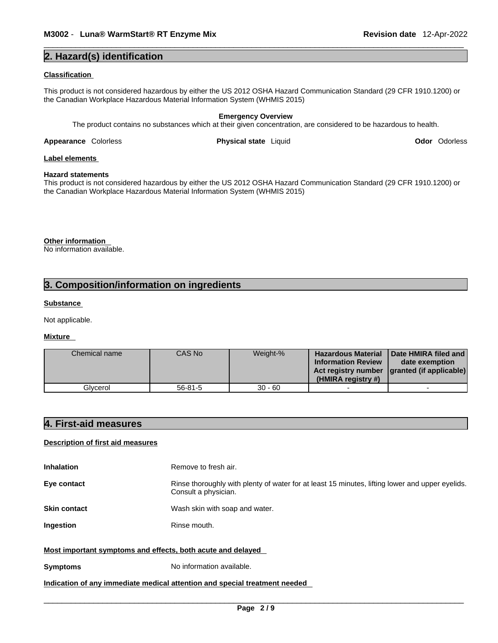## **2. Hazard(s) identification**

### **Classification**

This product is not considered hazardous by either the US 2012 OSHA Hazard Communication Standard (29 CFR 1910.1200) or the Canadian Workplace Hazardous Material Information System (WHMIS 2015)

### **Emergency Overview** The product contains no substances which at their given concentration, are considered to be hazardous to health.

**Appearance** Colorless **Physical state** Liquid

**Odor** Odorless

### **Label elements**

#### **Hazard statements**

This product is not considered hazardous by either the US 2012 OSHA Hazard Communication Standard (29 CFR 1910.1200) or the Canadian Workplace Hazardous Material Information System (WHMIS 2015)

**Other information** 

No information available.

# **3. Composition/information on ingredients**

### **Substance**

Not applicable.

### **Mixture**

| Chemical name | CAS No    | Weight-%  | <b>Hazardous Material</b><br><b>Information Review</b><br>(HMIRA registry #) | Date HMIRA filed and<br>date exemption<br>Act registry number   granted (if applicable) |  |
|---------------|-----------|-----------|------------------------------------------------------------------------------|-----------------------------------------------------------------------------------------|--|
| Glvcerol      | $56-81-5$ | $30 - 60$ |                                                                              |                                                                                         |  |

# **4. First-aid measures**

### **Description of first aid measures**

| <b>Inhalation</b>                                           | Remove to fresh air.                                                                                                    |
|-------------------------------------------------------------|-------------------------------------------------------------------------------------------------------------------------|
| Eye contact                                                 | Rinse thoroughly with plenty of water for at least 15 minutes, lifting lower and upper eyelids.<br>Consult a physician. |
| <b>Skin contact</b>                                         | Wash skin with soap and water.                                                                                          |
| <b>Ingestion</b>                                            | Rinse mouth.                                                                                                            |
| Most important symptoms and effects, both acute and delayed |                                                                                                                         |
| <b>Symptoms</b>                                             | No information available.                                                                                               |

### **Indication of any immediate medical attention and special treatment needed**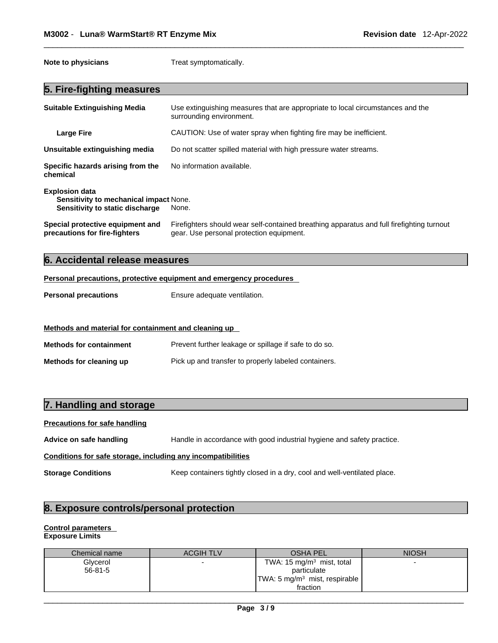**Note to physicians** Treat symptomatically.

### **5. Fire-fighting measures**

| <b>Suitable Extinguishing Media</b>                                                                | Use extinguishing measures that are appropriate to local circumstances and the<br>surrounding environment.                            |
|----------------------------------------------------------------------------------------------------|---------------------------------------------------------------------------------------------------------------------------------------|
| Large Fire                                                                                         | CAUTION: Use of water spray when fighting fire may be inefficient.                                                                    |
| Unsuitable extinguishing media                                                                     | Do not scatter spilled material with high pressure water streams.                                                                     |
| Specific hazards arising from the<br>chemical                                                      | No information available.                                                                                                             |
| <b>Explosion data</b><br>Sensitivity to mechanical impact None.<br>Sensitivity to static discharge | None.                                                                                                                                 |
| Special protective equipment and<br>precautions for fire-fighters                                  | Firefighters should wear self-contained breathing apparatus and full firefighting turnout<br>gear. Use personal protection equipment. |

# **6. Accidental release measures**

#### **Personal precautions, protective equipment and emergency procedures**

**Personal precautions** Ensure adequate ventilation.

### **Methods and material for containment and cleaning up**

| <b>Methods for containment</b> | Prevent further leakage or spillage if safe to do so. |
|--------------------------------|-------------------------------------------------------|
| Methods for cleaning up        | Pick up and transfer to properly labeled containers.  |

## **7. Handling and storage**

### **Precautions for safe handling**

**Advice on safe handling** Handle in accordance with good industrial hygiene and safety practice.

### **Conditions for safe storage, including any incompatibilities**

**Storage Conditions** Keep containers tightly closed in a dry, cool and well-ventilated place.

# **8. Exposure controls/personal protection**

### **Control parameters Exposure Limits**

| Chemical name | <b>ACGIH TLV</b> | <b>OSHA PEL</b>                           | <b>NIOSH</b> |
|---------------|------------------|-------------------------------------------|--------------|
| Glycerol      |                  | TWA: $15 \text{ mg/m}^3$ mist, total      |              |
| $56 - 81 - 5$ |                  | particulate                               |              |
|               |                  | TWA: 5 mg/m <sup>3</sup> mist, respirable |              |
|               |                  | fraction                                  |              |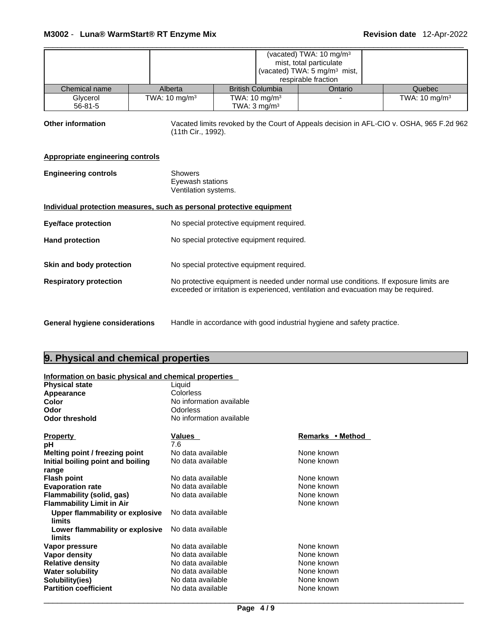| (vacated) TWA: 10 mg/m <sup>3</sup><br>mist, total particulate<br>(vacated) TWA: 5 mg/m <sup>3</sup> mist,<br>respirable fraction |                                                                                                                |                                                     |         |                           |
|-----------------------------------------------------------------------------------------------------------------------------------|----------------------------------------------------------------------------------------------------------------|-----------------------------------------------------|---------|---------------------------|
| Chemical name                                                                                                                     | Alberta                                                                                                        | <b>British Columbia</b>                             | Ontario | Quebec                    |
| Glycerol<br>$56 - 81 - 5$                                                                                                         | TWA: $10 \text{ mg/m}^3$                                                                                       | TWA: $10 \text{ mg/m}^3$<br>TWA: $3 \text{ mg/m}^3$ |         | TWA: 10 mg/m <sup>3</sup> |
| <b>Other information</b>                                                                                                          | Vacated limits revoked by the Court of Appeals decision in AFL-CIO v. OSHA, 965 F.2d 962<br>(11th Cir., 1992). |                                                     |         |                           |
| <b>Appropriate engineering controls</b>                                                                                           |                                                                                                                |                                                     |         |                           |
| <b>Engineering controls</b>                                                                                                       | <b>Showers</b>                                                                                                 | Eyewash stations<br>Ventilation systems.            |         |                           |
| Individual protection measures, such as personal protective equipment                                                             |                                                                                                                |                                                     |         |                           |
| <b>Eye/face protection</b>                                                                                                        |                                                                                                                | No special protective equipment required.           |         |                           |
| <b>Hand protection</b>                                                                                                            |                                                                                                                | No special protective equipment required.           |         |                           |
|                                                                                                                                   |                                                                                                                |                                                     |         |                           |

- **Respiratory protection** No protective equipment is needed under normal use conditions. If exposure limits are exceeded or irritation is experienced, ventilation and evacuation may be required.
- 

**General hygiene considerations** Handle in accordance with good industrial hygiene and safety practice.

# **9. Physical and chemical properties**

# **Information on basic physical and chemical properties**

**Skin and body protection** No special protective equipment required.

| <b>Physical state</b>                            | Liquid                   |                  |
|--------------------------------------------------|--------------------------|------------------|
| Appearance                                       | Colorless                |                  |
| Color                                            | No information available |                  |
| Odor                                             | Odorless                 |                  |
| <b>Odor threshold</b>                            | No information available |                  |
| <b>Property</b>                                  | Values                   | Remarks • Method |
| рH                                               | 7.6                      |                  |
| Melting point / freezing point                   | No data available        | None known       |
| Initial boiling point and boiling                | No data available        | None known       |
| range                                            |                          |                  |
| <b>Flash point</b>                               | No data available        | None known       |
| <b>Evaporation rate</b>                          | No data available        | None known       |
| Flammability (solid, gas)                        | No data available        | None known       |
| <b>Flammability Limit in Air</b>                 |                          | None known       |
| Upper flammability or explosive<br><b>limits</b> | No data available        |                  |
| Lower flammability or explosive<br>limits        | No data available        |                  |
| Vapor pressure                                   | No data available        | None known       |
| Vapor density                                    | No data available        | None known       |
| <b>Relative density</b>                          | No data available        | None known       |
| <b>Water solubility</b>                          | No data available        | None known       |
| Solubility(ies)                                  | No data available        | None known       |
| <b>Partition coefficient</b>                     | No data available        | None known       |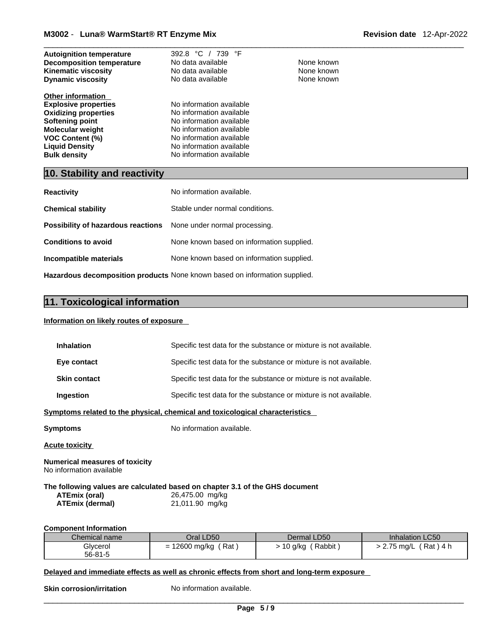| <b>Autoignition temperature</b><br><b>Decomposition temperature</b><br><b>Kinematic viscosity</b><br><b>Dynamic viscosity</b>                                                                                  | 392.8 °C / 739 °F<br>No data available<br>No data available<br>No data available                                                                                                                 | None known<br>None known<br>None known |
|----------------------------------------------------------------------------------------------------------------------------------------------------------------------------------------------------------------|--------------------------------------------------------------------------------------------------------------------------------------------------------------------------------------------------|----------------------------------------|
| <b>Other information</b><br><b>Explosive properties</b><br><b>Oxidizing properties</b><br>Softening point<br><b>Molecular weight</b><br><b>VOC Content (%)</b><br><b>Liquid Density</b><br><b>Bulk density</b> | No information available<br>No information available<br>No information available<br>No information available<br>No information available<br>No information available<br>No information available |                                        |

# **10. Stability and reactivity**

| <b>Reactivity</b>                                                          | No information available.                 |  |
|----------------------------------------------------------------------------|-------------------------------------------|--|
| <b>Chemical stability</b>                                                  | Stable under normal conditions.           |  |
| Possibility of hazardous reactions                                         | None under normal processing.             |  |
| <b>Conditions to avoid</b>                                                 | None known based on information supplied. |  |
| Incompatible materials                                                     | None known based on information supplied. |  |
| Hazardous decomposition products None known based on information supplied. |                                           |  |

# **11. Toxicological information**

### **Information on likely routes of exposure**

| Inhalation                                                                                                              |                                    | Specific test data for the substance or mixture is not available. |                         |  |
|-------------------------------------------------------------------------------------------------------------------------|------------------------------------|-------------------------------------------------------------------|-------------------------|--|
| Eye contact                                                                                                             |                                    | Specific test data for the substance or mixture is not available. |                         |  |
| <b>Skin contact</b>                                                                                                     |                                    | Specific test data for the substance or mixture is not available. |                         |  |
| Ingestion                                                                                                               |                                    | Specific test data for the substance or mixture is not available. |                         |  |
| Symptoms related to the physical, chemical and toxicological characteristics                                            |                                    |                                                                   |                         |  |
| <b>Symptoms</b>                                                                                                         | No information available.          |                                                                   |                         |  |
| <b>Acute toxicity</b>                                                                                                   |                                    |                                                                   |                         |  |
| <b>Numerical measures of toxicity</b><br>No information available                                                       |                                    |                                                                   |                         |  |
| The following values are calculated based on chapter 3.1 of the GHS document<br>ATEmix (oral)<br><b>ATEmix (dermal)</b> | 26,475.00 mg/kg<br>21,011.90 mg/kg |                                                                   |                         |  |
| <b>Component Information</b>                                                                                            |                                    |                                                                   |                         |  |
| Chemical name                                                                                                           | Oral LD50                          | Dermal LD50                                                       | Inhalation LC50         |  |
| Glycerol<br>$56 - 81 - 5$                                                                                               | $= 12600$ mg/kg (Rat)              | $> 10$ g/kg (Rabbit)                                              | $> 2.75$ mg/L (Rat) 4 h |  |
|                                                                                                                         |                                    |                                                                   |                         |  |

## **Delayed and immediate effects as well as chronic effects from short and long-term exposure**

**Skin corrosion/irritation** No information available.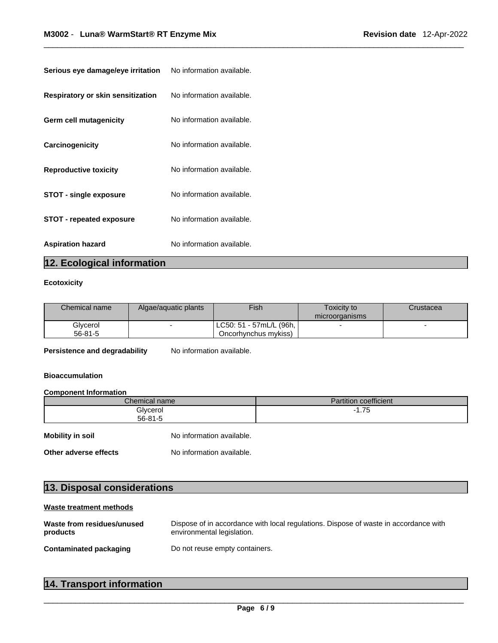| <b>Serious eye damage/eye irritation</b> No information available. |                           |
|--------------------------------------------------------------------|---------------------------|
| <b>Respiratory or skin sensitization</b>                           | No information available. |
| <b>Germ cell mutagenicity</b>                                      | No information available. |
| Carcinogenicity                                                    | No information available. |
| <b>Reproductive toxicity</b>                                       | No information available. |
| <b>STOT - single exposure</b>                                      | No information available. |
| <b>STOT - repeated exposure</b>                                    | No information available. |
| <b>Aspiration hazard</b>                                           | No information available. |

# **12. Ecological information**

# **Ecotoxicity**

| Chemical name | Algae/aguatic plants | <b>Fish</b>                            | Toxicity to<br>microorganisms | Crustacea |
|---------------|----------------------|----------------------------------------|-------------------------------|-----------|
| Glycerol      |                      | ! LC50: 51 - 57mL/L (96h, <sub>i</sub> |                               |           |
| 56-81-5       |                      | Oncorhynchus mykiss)                   |                               |           |

**Persistence and degradability** No information available.

# **Bioaccumulation**

### **Component Information**

|                       | Chemical name             | <b>Partition coefficient</b> |  |  |
|-----------------------|---------------------------|------------------------------|--|--|
|                       | Glycerol<br>$56 - 81 - 5$ | $-1.75$                      |  |  |
| Mobility in soil      | No information available. |                              |  |  |
| Other adverse effects | No information available. |                              |  |  |

# **13. Disposal considerations**

# **Waste treatment methods**

| Waste from residues/unused    | Dispose of in accordance with local regulations. Dispose of waste in accordance with |
|-------------------------------|--------------------------------------------------------------------------------------|
| products                      | environmental legislation.                                                           |
| <b>Contaminated packaging</b> | Do not reuse empty containers.                                                       |

| 14. Transport information |
|---------------------------|
|---------------------------|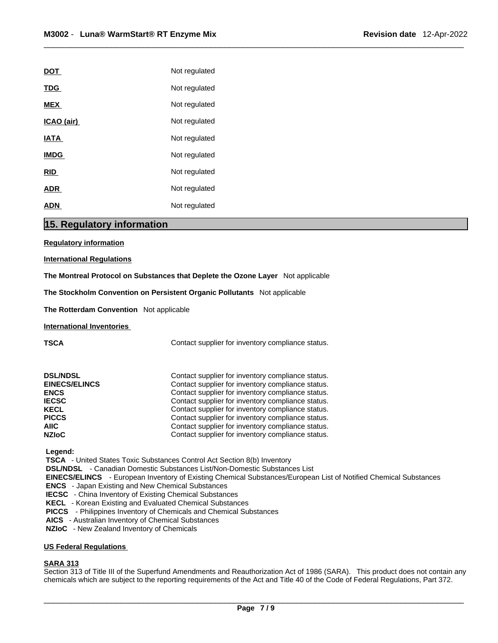| Not regulated |
|---------------|
| Not regulated |
| Not regulated |
| Not regulated |
| Not regulated |
| Not regulated |
| Not regulated |
| Not regulated |
| Not regulated |
|               |

# **15. Regulatory information**

**Regulatory information**

**International Regulations**

**The Montreal Protocol on Substances that Deplete the Ozone Layer** Not applicable

**The Stockholm Convention on Persistent Organic Pollutants** Not applicable

**The Rotterdam Convention** Not applicable

**International Inventories**

**TSCA Contact supplier for inventory compliance status.** 

| <b>DSL/NDSL</b>      | Contact supplier for inventory compliance status. |
|----------------------|---------------------------------------------------|
| <b>EINECS/ELINCS</b> | Contact supplier for inventory compliance status. |
| <b>ENCS</b>          | Contact supplier for inventory compliance status. |
| <b>IECSC</b>         | Contact supplier for inventory compliance status. |
| <b>KECL</b>          | Contact supplier for inventory compliance status. |
| <b>PICCS</b>         | Contact supplier for inventory compliance status. |
| AIIC.                | Contact supplier for inventory compliance status. |
| <b>NZIoC</b>         | Contact supplier for inventory compliance status. |

 **Legend:** 

 **TSCA** - United States Toxic Substances Control Act Section 8(b) Inventory

 **DSL/NDSL** - Canadian Domestic Substances List/Non-Domestic Substances List

 **EINECS/ELINCS** - European Inventory of Existing Chemical Substances/European List of Notified Chemical Substances

 **ENCS** - Japan Existing and New Chemical Substances

**IECSC** - China Inventory of Existing Chemical Substances

 **KECL** - Korean Existing and Evaluated Chemical Substances

 **PICCS** - Philippines Inventory of Chemicals and Chemical Substances

 **AICS** - Australian Inventory of Chemical Substances

 **NZIoC** - New Zealand Inventory of Chemicals

### **US Federal Regulations**

### **SARA 313**

Section 313 of Title III of the Superfund Amendments and Reauthorization Act of 1986 (SARA). This product does not contain any chemicals which are subject to the reporting requirements of the Act and Title 40 of the Code of Federal Regulations, Part 372.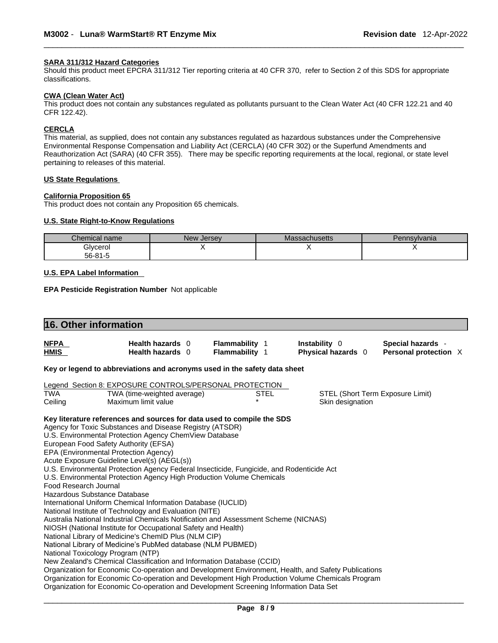### **SARA 311/312 Hazard Categories**

Should this product meet EPCRA 311/312 Tier reporting criteria at 40 CFR 370, refer to Section 2 of this SDS for appropriate classifications.

#### **CWA (Clean WaterAct)**

This product does not contain any substances regulated as pollutants pursuant to the Clean Water Act (40 CFR 122.21 and 40 CFR 122.42).

## **CERCLA**

This material, as supplied, does not contain any substances regulated as hazardous substances under the Comprehensive Environmental Response Compensation and Liability Act (CERCLA) (40 CFR 302) or the Superfund Amendments and Reauthorization Act (SARA) (40 CFR 355). There may be specific reporting requirements at the local, regional, or state level pertaining to releases of this material.

#### **US State Regulations**

### **California Proposition 65**

This product does not contain any Proposition 65 chemicals.

### **U.S. State Right-to-Know Regulations**

| $\sim$<br>Chemical name | New Jersev | Massachusetts | Pennsylvania |
|-------------------------|------------|---------------|--------------|
| Glycerol                |            |               |              |
| 56-81-5                 |            |               |              |

### **U.S. EPA Label Information**

**EPA Pesticide Registration Number** Not applicable

|                       | 16. Other information                                                                               |                       |             |                    |                                  |  |
|-----------------------|-----------------------------------------------------------------------------------------------------|-----------------------|-------------|--------------------|----------------------------------|--|
| <b>NFPA</b>           | Health hazards 0                                                                                    | <b>Flammability 1</b> |             | Instability 0      | Special hazards -                |  |
| <b>HMIS</b>           | Health hazards 0                                                                                    | <b>Flammability 1</b> |             | Physical hazards 0 | Personal protection X            |  |
|                       | Key or legend to abbreviations and acronyms used in the safety data sheet                           |                       |             |                    |                                  |  |
|                       | Legend Section 8: EXPOSURE CONTROLS/PERSONAL PROTECTION                                             |                       |             |                    |                                  |  |
| <b>TWA</b>            | TWA (time-weighted average)                                                                         |                       | <b>STEL</b> |                    | STEL (Short Term Exposure Limit) |  |
| Ceiling               | Maximum limit value                                                                                 |                       |             | Skin designation   |                                  |  |
|                       | Key literature references and sources for data used to compile the SDS                              |                       |             |                    |                                  |  |
|                       | Agency for Toxic Substances and Disease Registry (ATSDR)                                            |                       |             |                    |                                  |  |
|                       | U.S. Environmental Protection Agency ChemView Database                                              |                       |             |                    |                                  |  |
|                       | European Food Safety Authority (EFSA)                                                               |                       |             |                    |                                  |  |
|                       | EPA (Environmental Protection Agency)                                                               |                       |             |                    |                                  |  |
|                       | Acute Exposure Guideline Level(s) (AEGL(s))                                                         |                       |             |                    |                                  |  |
|                       | U.S. Environmental Protection Agency Federal Insecticide, Fungicide, and Rodenticide Act            |                       |             |                    |                                  |  |
| Food Research Journal | U.S. Environmental Protection Agency High Production Volume Chemicals                               |                       |             |                    |                                  |  |
|                       | Hazardous Substance Database                                                                        |                       |             |                    |                                  |  |
|                       | International Uniform Chemical Information Database (IUCLID)                                        |                       |             |                    |                                  |  |
|                       | National Institute of Technology and Evaluation (NITE)                                              |                       |             |                    |                                  |  |
|                       | Australia National Industrial Chemicals Notification and Assessment Scheme (NICNAS)                 |                       |             |                    |                                  |  |
|                       | NIOSH (National Institute for Occupational Safety and Health)                                       |                       |             |                    |                                  |  |
|                       | National Library of Medicine's ChemID Plus (NLM CIP)                                                |                       |             |                    |                                  |  |
|                       | National Library of Medicine's PubMed database (NLM PUBMED)                                         |                       |             |                    |                                  |  |
|                       | National Toxicology Program (NTP)                                                                   |                       |             |                    |                                  |  |
|                       | New Zealand's Chemical Classification and Information Database (CCID)                               |                       |             |                    |                                  |  |
|                       | Organization for Economic Co-operation and Development Environment, Health, and Safety Publications |                       |             |                    |                                  |  |
|                       | Organization for Economic Co-operation and Development High Production Volume Chemicals Program     |                       |             |                    |                                  |  |
|                       | Organization for Economic Co-operation and Development Screening Information Data Set               |                       |             |                    |                                  |  |